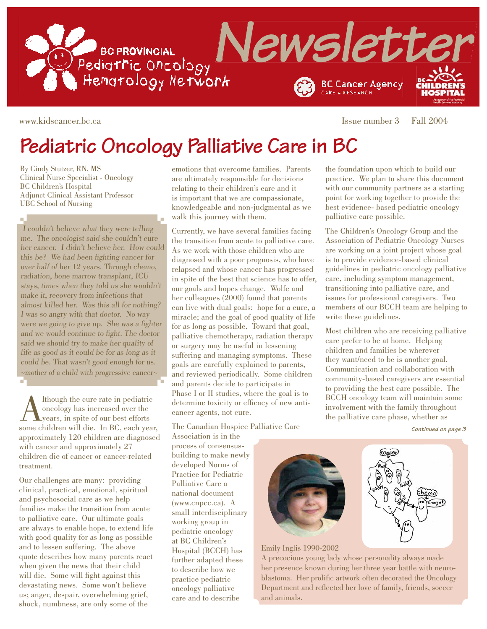

 $\mathbf{u}$ 

www.kidscancer.bc.ca Issue number 3 Fall 2004

# **Pediatric Oncology Palliative Care in BC**

By Cindy Stutzer, RN, MS Clinical Nurse Specialist - Oncology BC Children's Hospital Adjunct Clinical Assistant Professor UBC School of Nursing

I couldn't believe what they were telling me. The oncologist said she couldn't cure her cancer. I didn't believe her. How could this be? We had been fighting cancer for over half of her 12 years. Through chemo, radiation, bone marrow transplant, ICU stays, times when they told us she wouldn't make it, recovery from infections that almost killed her. Was this all for nothing? I was so angry with that doctor. No way were we going to give up. She was a fighter and we would continue to fight. The doctor said we should try to make her quality of life as good as it could be for as long as it could be. That wasn't good enough for us. ~mother of a child with progressive cancer~

Although the cure rate in pediatric<br>oncology has increased over the<br>years, in spite of our best efforts<br>some children will die. In BC, each year oncology has increased over the years, in spite of our best efforts some children will die. In BC, each year, approximately 120 children are diagnosed with cancer and approximately 27 children die of cancer or cancer-related treatment.

Our challenges are many: providing clinical, practical, emotional, spiritual and psychosocial care as we help families make the transition from acute to palliative care. Our ultimate goals are always to enable hope, to extend life with good quality for as long as possible and to lessen suffering. The above quote describes how many parents react when given the news that their child will die. Some will fight against this devastating news. Some won't believe us; anger, despair, overwhelming grief, shock, numbness, are only some of the

emotions that overcome families. Parents are ultimately responsible for decisions relating to their children's care and it is important that we are compassionate, knowledgeable and non-judgmental as we walk this journey with them.

Currently, we have several families facing the transition from acute to palliative care. As we work with those children who are diagnosed with a poor prognosis, who have relapsed and whose cancer has progressed in spite of the best that science has to offer, our goals and hopes change. Wolfe and her colleagues (2000) found that parents can live with dual goals: hope for a cure, a miracle; and the goal of good quality of life for as long as possible. Toward that goal, palliative chemotherapy, radiation therapy or surgery may be useful in lessening suffering and managing symptoms. These goals are carefully explained to parents, and reviewed periodically. Some children and parents decide to participate in Phase I or II studies, where the goal is to determine toxicity or efficacy of new anticancer agents, not cure.

The Canadian Hospice Palliative Care

Association is in the process of consensusbuilding to make newly developed Norms of Practice for Pediatric Palliative Care a national document (www.cnpcc.ca). A small interdisciplinary working group in pediatric oncology at BC Children's Hospital (BCCH) has further adapted these to describe how we practice pediatric oncology palliative care and to describe

the foundation upon which to build our practice. We plan to share this document with our community partners as a starting point for working together to provide the best evidence- based pediatric oncology palliative care possible.

The Children's Oncology Group and the Association of Pediatric Oncology Nurses are working on a joint project whose goal is to provide evidence-based clinical guidelines in pediatric oncology palliative care, including symptom management, transitioning into palliative care, and issues for professional caregivers. Two members of our BCCH team are helping to write these guidelines.

Most children who are receiving palliative care prefer to be at home. Helping children and families be wherever they want/need to be is another goal. Communication and collaboration with community-based caregivers are essential to providing the best care possible. The BCCH oncology team will maintain some involvement with the family throughout the palliative care phase, whether as

**Continued on page 3**



Emily Inglis 1990-2002

A precocious young lady whose personality always made her presence known during her three year battle with neuroblastoma. Her prolific artwork often decorated the Oncology Department and reflected her love of family, friends, soccer and animals.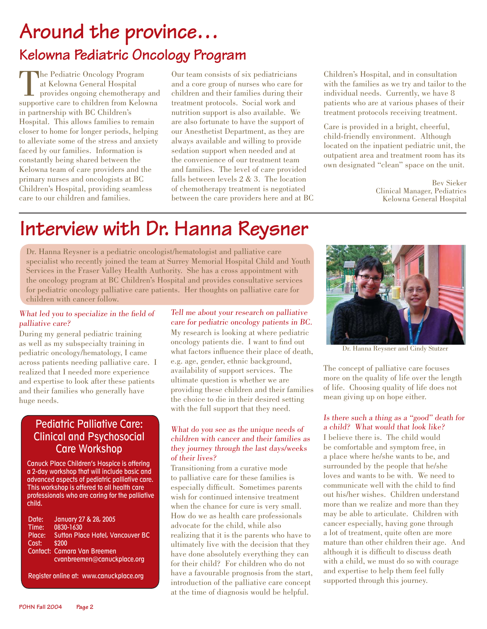# **Around the province… Kelowna Pediatric Oncology Program**

The Pediatric Oncology Program<br>at Kelowna General Hospital<br>provides ongoing chemotherapy<br>supportive care to children from Keloy at Kelowna General Hospital provides ongoing chemotherapy and supportive care to children from Kelowna in partnership with BC Children's Hospital. This allows families to remain closer to home for longer periods, helping to alleviate some of the stress and anxiety faced by our families. Information is constantly being shared between the Kelowna team of care providers and the primary nurses and oncologists at BC Children's Hospital, providing seamless care to our children and families.

Our team consists of six pediatricians and a core group of nurses who care for children and their families during their treatment protocols. Social work and nutrition support is also available. We are also fortunate to have the support of our Anesthetist Department, as they are always available and willing to provide sedation support when needed and at the convenience of our treatment team and families. The level of care provided falls between levels 2 & 3. The location of chemotherapy treatment is negotiated between the care providers here and at BC Children's Hospital, and in consultation with the families as we try and tailor to the individual needs. Currently, we have 8 patients who are at various phases of their treatment protocols receiving treatment.

Care is provided in a bright, cheerful, child-friendly environment. Although located on the inpatient pediatric unit, the outpatient area and treatment room has its own designated "clean" space on the unit.

> Bev Sieker Clinical Manager, Pediatrics Kelowna General Hospital

# **Interview with Dr. Hanna Reysner**

Dr. Hanna Reysner is a pediatric oncologist/hematologist and palliative care specialist who recently joined the team at Surrey Memorial Hospital Child and Youth Services in the Fraser Valley Health Authority. She has a cross appointment with the oncology program at BC Children's Hospital and provides consultative services for pediatric oncology palliative care patients. Her thoughts on palliative care for children with cancer follow.

### What led you to specialize in the field of palliative care?

During my general pediatric training as well as my subspecialty training in pediatric oncology/hematology, I came across patients needing palliative care. I realized that I needed more experience and expertise to look after these patients and their families who generally have huge needs.

## Pediatric Palliative Care: Clinical and Psychosocial Care Workshop

Canuck Place Children's Hospice is offering a 2-day workshop that will include basic and advanced aspects of pediatric palliative care. This workshop is offered to all health care professionals who are caring for the palliative child.

Date: January 27 & 28, 2005 Time: 0830-1630 Place: Sutton Place Hotel, Vancouver BC Cost: \$200 Contact: Camara Van Breemen cvanbreemen@canuckplace.org

Register online at: www.canuckplace.org

Tell me about your research on palliative care for pediatric oncology patients in BC. My research is looking at where pediatric oncology patients die. I want to find out what factors influence their place of death, e.g. age, gender, ethnic background, availability of support services. The ultimate question is whether we are providing these children and their families the choice to die in their desired setting with the full support that they need.

### What do you see as the unique needs of children with cancer and their families as they journey through the last days/weeks of their lives?

Transitioning from a curative mode to palliative care for these families is especially difficult. Sometimes parents wish for continued intensive treatment when the chance for cure is very small. How do we as health care professionals advocate for the child, while also realizing that it is the parents who have to ultimately live with the decision that they have done absolutely everything they can for their child? For children who do not have a favourable prognosis from the start, introduction of the palliative care concept at the time of diagnosis would be helpful.



Dr. Hanna Reysner and Cindy Stutzer

The concept of palliative care focuses more on the quality of life over the length of life. Choosing quality of life does not mean giving up on hope either.

### Is there such a thing as a "good" death for a child? What would that look like?

I believe there is. The child would be comfortable and symptom free, in a place where he/she wants to be, and surrounded by the people that he/she loves and wants to be with. We need to communicate well with the child to find out his/her wishes. Children understand more than we realize and more than they may be able to articulate. Children with cancer especially, having gone through a lot of treatment, quite often are more mature than other children their age. And although it is difficult to discuss death with a child, we must do so with courage and expertise to help them feel fully supported through this journey.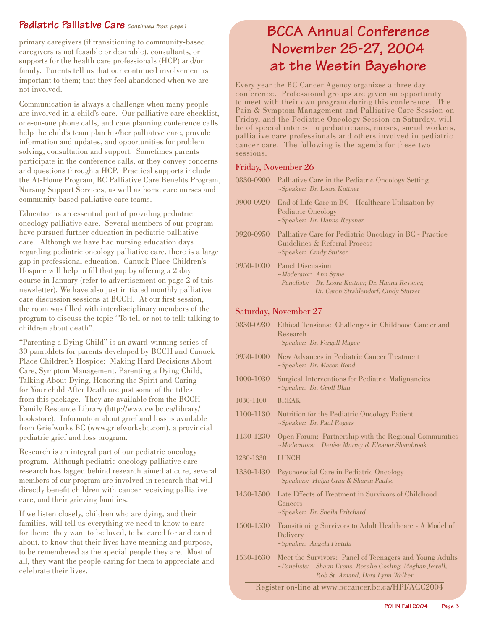## **Pediatric Palliative Care Continued from page 1**

primary caregivers (if transitioning to community-based caregivers is not feasible or desirable), consultants, or supports for the health care professionals (HCP) and/or family. Parents tell us that our continued involvement is important to them; that they feel abandoned when we are not involved.

Communication is always a challenge when many people are involved in a child's care. Our palliative care checklist, one-on-one phone calls, and care planning conference calls help the child's team plan his/her palliative care, provide information and updates, and opportunities for problem solving, consultation and support. Sometimes parents participate in the conference calls, or they convey concerns and questions through a HCP. Practical supports include the At-Home Program, BC Palliative Care Benefits Program, Nursing Support Services, as well as home care nurses and community-based palliative care teams.

Education is an essential part of providing pediatric oncology palliative care. Several members of our program have pursued further education in pediatric palliative care. Although we have had nursing education days regarding pediatric oncology palliative care, there is a large gap in professional education. Canuck Place Children's Hospice will help to fill that gap by offering a  $2 \text{ day}$ course in January (refer to advertisement on page 2 of this newsletter). We have also just initiated monthly palliative care discussion sessions at BCCH. At our first session, the room was filled with interdisciplinary members of the program to discuss the topic "To tell or not to tell: talking to children about death".

"Parenting a Dying Child" is an award-winning series of 30 pamphlets for parents developed by BCCH and Canuck Place Children's Hospice: Making Hard Decisions About Care, Symptom Management, Parenting a Dying Child, Talking About Dying, Honoring the Spirit and Caring for Your child After Death are just some of the titles from this package. They are available from the BCCH Family Resource Library (http://www.cw.bc.ca/library/ bookstore). Information about grief and loss is available from Griefworks BC (www.griefworksbc.com), a provincial pediatric grief and loss program.

Research is an integral part of our pediatric oncology program. Although pediatric oncology palliative care research has lagged behind research aimed at cure, several members of our program are involved in research that will directly benefit children with cancer receiving palliative care, and their grieving families.

If we listen closely, children who are dying, and their families, will tell us everything we need to know to care for them: they want to be loved, to be cared for and cared about, to know that their lives have meaning and purpose, to be remembered as the special people they are. Most of all, they want the people caring for them to appreciate and celebrate their lives.

# **BCCA Annual Conference November 25-27, 2004 at the Westin Bayshore**

Every year the BC Cancer Agency organizes a three day conference. Professional groups are given an opportunity to meet with their own program during this conference. The Pain & Symptom Management and Palliative Care Session on Friday, and the Pediatric Oncology Session on Saturday, will be of special interest to pediatricians, nurses, social workers, palliative care professionals and others involved in pediatric cancer care. The following is the agenda for these two sessions.

### Friday, November 26

| 0830-0900 | Palliative Care in the Pediatric Oncology Setting<br>$\sim$ Speaker: Dr. Leora Kuttner                                                                 |
|-----------|--------------------------------------------------------------------------------------------------------------------------------------------------------|
| 0900-0920 | End of Life Care in BC - Healthcare Utilization by<br>Pediatric Oncology<br>$\sim$ Speaker: Dr. Hanna Reysner                                          |
| 0920-0950 | Palliative Care for Pediatric Oncology in BC - Practice<br>Guidelines & Referral Process<br>$\sim$ Speaker: Cindy Stutzer                              |
|           | 0950-1030 Panel Discussion<br>$\sim$ Moderator: Ann Syme<br>~Panelists: Dr. Leora Kuttner, Dr. Hanna Reysner,<br>Dr. Caron Strahlendorf, Cindy Stutzer |

### Saturday, November 27

| 0830-0930                                          | Ethical Tensions: Challenges in Childhood Cancer and<br>Research<br>$\sim$ Speaker: Dr. Fergall Magee                                                           |  |
|----------------------------------------------------|-----------------------------------------------------------------------------------------------------------------------------------------------------------------|--|
| $0930 - 1000$                                      | New Advances in Pediatric Cancer Treatment<br>~Speaker: Dr. Mason Bond                                                                                          |  |
| 1000-1030                                          | Surgical Interventions for Pediatric Malignancies<br>~Speaker: Dr. Geoff Blair                                                                                  |  |
| 1030-1100                                          | <b>BREAK</b>                                                                                                                                                    |  |
| 1100-1130                                          | Nutrition for the Pediatric Oncology Patient<br>$\sim$ Speaker: Dr. Paul Rogers                                                                                 |  |
| 1130-1230                                          | Open Forum: Partnership with the Regional Communities<br>~Moderators: Denise Murray & Eleanor Shambrook                                                         |  |
| 1230-1330                                          | <b>LUNCH</b>                                                                                                                                                    |  |
| 1330-1430                                          | Psychosocial Care in Pediatric Oncology<br>$\sim$ Speakers: Helga Grau & Sharon Paulse                                                                          |  |
| 1430-1500                                          | Late Effects of Treatment in Survivors of Childhood<br>Cancers<br>$\sim$ Speaker: Dr. Sheila Pritchard                                                          |  |
| 1500-1530                                          | Transitioning Survivors to Adult Healthcare - A Model of<br>Delivery<br>~Speaker: Angela Pretula                                                                |  |
| 1530-1630                                          | Meet the Survivors: Panel of Teenagers and Young Adults<br>Shaun Evans, Rosalie Gosling, Meghan Jewell,<br>$\neg$ Panelists:<br>Rob St. Amand, Dara Lynn Walker |  |
| Register on-line at www.bccancer.bc.ca/HPI/ACC2004 |                                                                                                                                                                 |  |